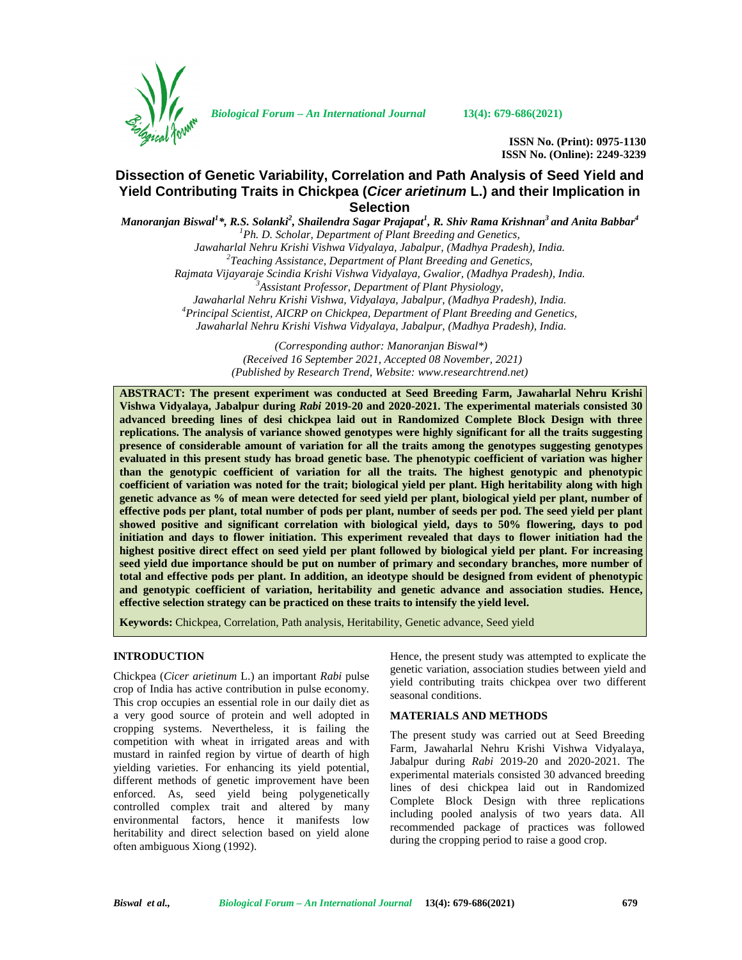

*Biological Forum – An International Journal* **13(4): 679-686(2021)**

**ISSN No. (Print): 0975-1130 ISSN No. (Online): 2249-3239**

# **Dissection of Genetic Variability, Correlation and Path Analysis of Seed Yield and Yield Contributing Traits in Chickpea (***Cicer arietinum* **L.) and their Implication in Selection**

 $M$ anoranjan Biswal<sup>1</sup>\*, R.S. Solanki<sup>2</sup>, Shailendra Sagar Prajapat<sup>1</sup>, R. Shiv Rama Krishnan<sup>3</sup> and Anita Babbar<sup>4</sup> *<sup>1</sup>Ph. D. Scholar, Department of Plant Breeding and Genetics, Jawaharlal Nehru Krishi Vishwa Vidyalaya, Jabalpur, (Madhya Pradesh), India. <sup>2</sup>Teaching Assistance, Department of Plant Breeding and Genetics, Rajmata Vijayaraje Scindia Krishi Vishwa Vidyalaya, Gwalior, (Madhya Pradesh), India. <sup>3</sup>Assistant Professor*, *Department of Plant Physiology, Jawaharlal Nehru Krishi Vishwa, Vidyalaya, Jabalpur, (Madhya Pradesh), India. <sup>4</sup>Principal Scientist, AICRP on Chickpea, Department of Plant Breeding and Genetics, Jawaharlal Nehru Krishi Vishwa Vidyalaya, Jabalpur, (Madhya Pradesh), India.*

*(Corresponding author: Manoranjan Biswal\*) (Received 16 September 2021, Accepted 08 November, 2021) (Published by Research Trend, Website: [www.researchtrend.net\)](www.researchtrend.net)*

**ABSTRACT: The present experiment was conducted at Seed Breeding Farm, Jawaharlal Nehru Krishi Vishwa Vidyalaya, Jabalpur during** *Rabi* **2019-20 and 2020-2021. The experimental materials consisted 30 advanced breeding lines of desi chickpea laid out in Randomized Complete Block Design with three replications. The analysis of variance showed genotypes were highly significant for all the traits suggesting presence of considerable amount of variation for all the traits among the genotypes suggesting genotypes evaluated in this present study has broad genetic base. The phenotypic coefficient of variation was higher than the genotypic coefficient of variation for all the traits. The highest genotypic and phenotypic coefficient of variation was noted for the trait; biological yield per plant. High heritability along with high genetic advance as % of mean were detected for seed yield per plant, biological yield per plant, number of effective pods per plant, total number of pods per plant, number of seeds per pod. The seed yield per plant showed positive and significant correlation with biological yield, days to 50% flowering, days to pod initiation and days to flower initiation. This experiment revealed that days to flower initiation had the highest positive direct effect on seed yield per plant followed by biological yield per plant. For increasing seed yield due importance should be put on number of primary and secondary branches, more number of total and effective pods per plant. In addition, an ideotype should be designed from evident of phenotypic and genotypic coefficient of variation, heritability and genetic advance and association studies. Hence, effective selection strategy can be practiced on these traits to intensify the yield level.**

**Keywords:** Chickpea, Correlation, Path analysis, Heritability, Genetic advance, Seed yield

## **INTRODUCTION**

Chickpea (*Cicer arietinum* L.) an important *Rabi* pulse crop of India has active contribution in pulse economy. This crop occupies an essential role in our daily diet as a very good source of protein and well adopted in cropping systems. Nevertheless, it is failing the competition with wheat in irrigated areas and with mustard in rainfed region by virtue of dearth of high yielding varieties. For enhancing its yield potential, different methods of genetic improvement have been enforced. As, seed yield being polygenetically controlled complex trait and altered by many environmental factors, hence it manifests low heritability and direct selection based on yield alone often ambiguous Xiong (1992).

Hence, the present study was attempted to explicate the genetic variation, association studies between yield and yield contributing traits chickpea over two different seasonal conditions.

## **MATERIALS AND METHODS**

The present study was carried out at Seed Breeding Farm, Jawaharlal Nehru Krishi Vishwa Vidyalaya, Jabalpur during *Rabi* 2019-20 and 2020-2021. The experimental materials consisted 30 advanced breeding lines of desi chickpea laid out in Randomized Complete Block Design with three replications including pooled analysis of two years data. All recommended package of practices was followed during the cropping period to raise a good crop.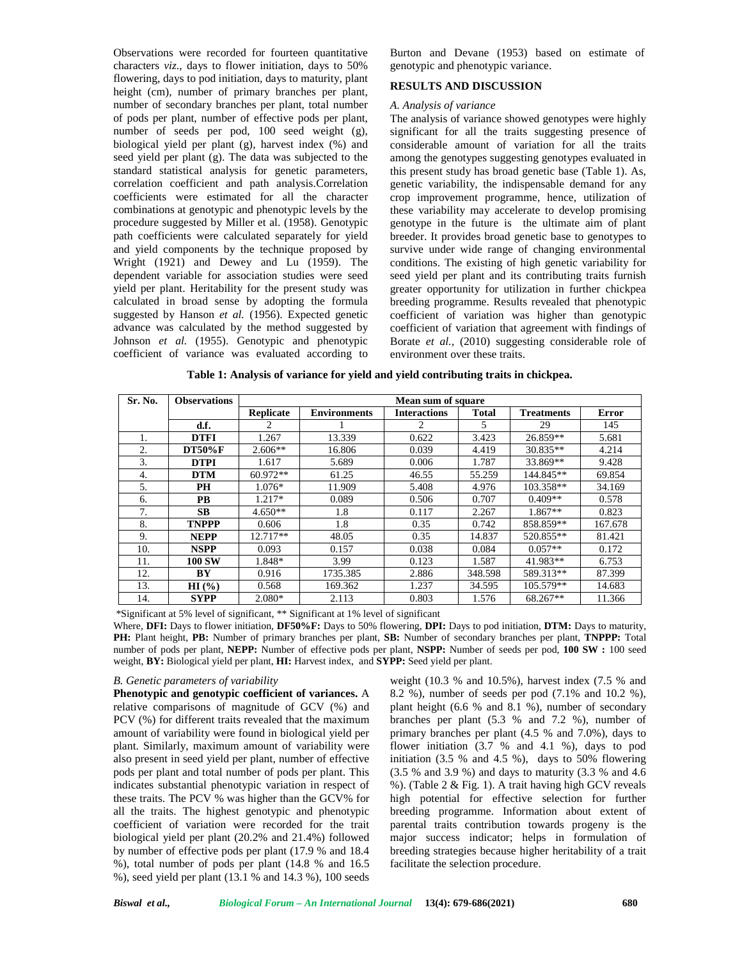Observations were recorded for fourteen quantitative characters *viz*., days to flower initiation, days to 50% flowering, days to pod initiation, days to maturity, plant height (cm), number of primary branches per plant, number of secondary branches per plant, total number of pods per plant, number of effective pods per plant, number of seeds per pod, 100 seed weight (g), biological yield per plant (g), harvest index (%) and seed yield per plant (g). The data was subjected to the standard statistical analysis for genetic parameters, correlation coefficient and path analysis.Correlation coefficients were estimated for all the character combinations at genotypic and phenotypic levels by the procedure suggested by Miller et al. (1958). Genotypic path coefficients were calculated separately for yield and yield components by the technique proposed by Wright (1921) and Dewey and Lu (1959). The dependent variable for association studies were seed yield per plant. Heritability for the present study was calculated in broad sense by adopting the formula suggested by Hanson *et al.* (1956). Expected genetic advance was calculated by the method suggested by Johnson *et al.* (1955). Genotypic and phenotypic coefficient of variance was evaluated according to Burton and Devane (1953) based on estimate of genotypic and phenotypic variance.

## **RESULTS AND DISCUSSION**

#### *A. Analysis of variance*

The analysis of variance showed genotypes were highly significant for all the traits suggesting presence of considerable amount of variation for all the traits among the genotypes suggesting genotypes evaluated in this present study has broad genetic base (Table 1). As, genetic variability, the indispensable demand for any crop improvement programme, hence, utilization of these variability may accelerate to develop promising genotype in the future is the ultimate aim of plant breeder. It provides broad genetic base to genotypes to survive under wide range of changing environmental conditions. The existing of high genetic variability for seed yield per plant and its contributing traits furnish greater opportunity for utilization in further chickpea breeding programme. Results revealed that phenotypic coefficient of variation was higher than genotypic coefficient of variation that agreement with findings of Borate *et al.,* (2010) suggesting considerable role of environment over these traits.

| Table 1: Analysis of variance for yield and yield contributing traits in chickpea. |  |
|------------------------------------------------------------------------------------|--|
|------------------------------------------------------------------------------------|--|

| Sr. No. | <b>Observations</b> | Mean sum of square |                     |                     |              |                   |              |  |  |  |  |
|---------|---------------------|--------------------|---------------------|---------------------|--------------|-------------------|--------------|--|--|--|--|
|         |                     | <b>Replicate</b>   | <b>Environments</b> | <b>Interactions</b> | <b>Total</b> | <b>Treatments</b> | <b>Error</b> |  |  |  |  |
|         | d.f.                |                    |                     |                     | 5            | 29                | 145          |  |  |  |  |
|         | <b>DTFI</b>         | 1.267              | 13.339              | 0.622               | 3.423        | 26.859**          | 5.681        |  |  |  |  |
| 2.      | <b>DT50%F</b>       | $2.606**$          | 16.806              | 0.039               | 4.419        | $30.835**$        | 4.214        |  |  |  |  |
| 3.      | <b>DTPI</b>         | 1.617              | 5.689               | 0.006               | 1.787        | 33.869**          | 9.428        |  |  |  |  |
| 4.      | <b>DTM</b>          | $60.972**$         | 61.25               | 46.55               | 55.259       | 144.845**         | 69.854       |  |  |  |  |
| 5.      | <b>PH</b>           | $1.076*$           | 11.909              | 5.408               | 4.976        | 103.358**         | 34.169       |  |  |  |  |
| 6.      | <b>PB</b>           | $1.217*$           | 0.089               | 0.506               | 0.707        | $0.409**$         | 0.578        |  |  |  |  |
|         | <b>SB</b>           | $4.650**$          | 1.8                 | 0.117               | 2.267        | $1.867**$         | 0.823        |  |  |  |  |
| 8.      | <b>TNPPP</b>        | 0.606              | 1.8                 | 0.35                | 0.742        | 858.859**         | 167.678      |  |  |  |  |
| 9.      | <b>NEPP</b>         | $12.717**$         | 48.05               | 0.35                | 14.837       | 520.855**         | 81.421       |  |  |  |  |
| 10.     | <b>NSPP</b>         | 0.093              | 0.157               | 0.038               | 0.084        | $0.057**$         | 0.172        |  |  |  |  |
| 11.     | <b>100 SW</b>       | 1.848*             | 3.99                | 0.123               | 1.587        | 41.983**          | 6.753        |  |  |  |  |
| 12.     | BY                  | 0.916              | 1735.385            | 2.886               | 348.598      | 589.313**         | 87.399       |  |  |  |  |
| 13.     | HI(%)               | 0.568              | 169.362             | 1.237               | 34.595       | $105.579**$       | 14.683       |  |  |  |  |
| 14.     | <b>SYPP</b>         | $2.080*$           | 2.113               | 0.803               | 1.576        | $68.267**$        | 11.366       |  |  |  |  |

\*Significant at 5% level of significant, \*\* Significant at 1% level of significant

Where, **DFI:** Days to flower initiation, **DF50%F:** Days to 50% flowering, **DPI:** Days to pod initiation, **DTM:** Days to maturity, **PH:** Plant height, **PB:** Number of primary branches per plant, **SB:** Number of secondary branches per plant, **TNPPP:** Total number of pods per plant, **NEPP:** Number of effective pods per plant, **NSPP:** Number of seeds per pod, **100 SW :** 100 seed weight, **BY:** Biological yield per plant, **HI:** Harvest index, and **SYPP:** Seed yield per plant.

#### *B. Genetic parameters of variability*

**Phenotypic and genotypic coefficient of variances.** A relative comparisons of magnitude of GCV (%) and PCV (%) for different traits revealed that the maximum amount of variability were found in biological yield per plant. Similarly, maximum amount of variability were also present in seed yield per plant, number of effective pods per plant and total number of pods per plant. This indicates substantial phenotypic variation in respect of these traits. The PCV % was higher than the GCV% for all the traits. The highest genotypic and phenotypic coefficient of variation were recorded for the trait biological yield per plant (20.2% and 21.4%) followed by number of effective pods per plant (17.9 % and 18.4 %), total number of pods per plant (14.8 % and 16.5 %), seed yield per plant (13.1 % and 14.3 %), 100 seeds

weight (10.3 % and 10.5%), harvest index (7.5 % and 8.2 %), number of seeds per pod (7.1% and 10.2 %), plant height (6.6 % and 8.1 %), number of secondary branches per plant (5.3 % and 7.2 %), number of primary branches per plant (4.5 % and 7.0%), days to flower initiation  $(3.7 \%$  and 4.1 %), days to pod initiation  $(3.5 % and 4.5 %)$ , days to  $50\%$  flowering (3.5 % and 3.9 %) and days to maturity (3.3 % and 4.6 %). (Table 2 & Fig. 1). A trait having high GCV reveals high potential for effective selection for further breeding programme. Information about extent of parental traits contribution towards progeny is the major success indicator; helps in formulation of breeding strategies because higher heritability of a trait facilitate the selection procedure.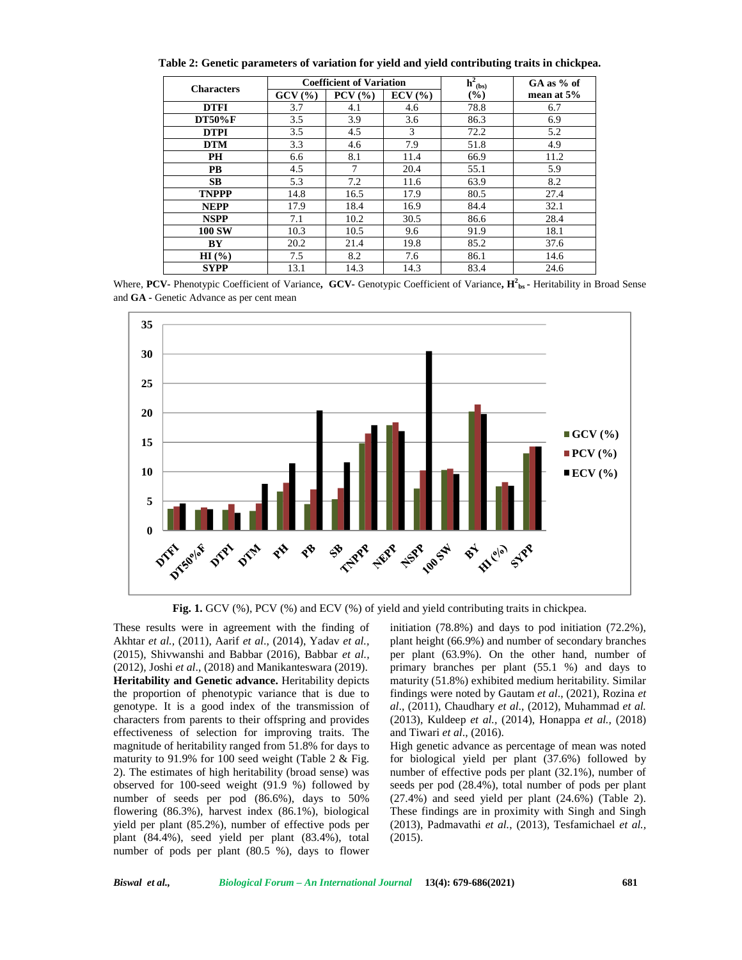| <b>Characters</b> |        | <b>Coefficient of Variation</b> | $h^2_{(bs)}$                     | $GA$ as % of |              |  |
|-------------------|--------|---------------------------------|----------------------------------|--------------|--------------|--|
|                   | GCV(%) | $PCV$ $(\frac{9}{6})$           | $ECV$ $\left(\frac{9}{6}\right)$ | $(\%)$       | mean at $5%$ |  |
| <b>DTFI</b>       | 3.7    | 4.1                             | 4.6                              | 78.8         | 6.7          |  |
| <b>DT50%F</b>     | 3.5    | 3.9                             | 3.6                              | 86.3         | 6.9          |  |
| <b>DTPI</b>       | 3.5    | 4.5                             | 3                                | 72.2         | 5.2          |  |
| <b>DTM</b>        | 3.3    | 4.6                             | 7.9                              | 51.8         | 4.9          |  |
| PH                | 6.6    | 8.1                             | 11.4                             | 66.9         | 11.2         |  |
| <b>PB</b>         | 4.5    | $\tau$                          | 20.4                             | 55.1         | 5.9          |  |
| <b>SB</b>         | 5.3    | 7.2                             | 11.6                             | 63.9         | 8.2          |  |
| <b>TNPPP</b>      | 14.8   | 16.5                            | 17.9                             | 80.5         | 27.4         |  |
| <b>NEPP</b>       | 17.9   | 18.4                            | 16.9                             | 84.4         | 32.1         |  |
| <b>NSPP</b>       | 7.1    | 10.2                            | 30.5                             | 86.6         | 28.4         |  |
| <b>100 SW</b>     | 10.3   | 10.5                            | 9.6                              | 91.9         | 18.1         |  |
| BY                | 20.2   | 21.4                            | 19.8                             | 85.2         | 37.6         |  |
| $HI(\% )$         | 7.5    | 8.2                             | 7.6                              | 86.1         | 14.6         |  |
| <b>SYPP</b>       | 13.1   | 14.3                            | 14.3                             | 83.4         | 24.6         |  |

**Table 2: Genetic parameters of variation for yield and yield contributing traits in chickpea.**

Where, **PCV-** Phenotypic Coefficient of Variance**, GCV-** Genotypic Coefficient of Variance**, H2bs -** Heritability in Broad Sense and **GA -** Genetic Advance as per cent mean



**Fig. 1.** GCV (%), PCV (%) and ECV (%) of yield and yield contributing traits in chickpea.

These results were in agreement with the finding of Akhtar *et al.,* (2011), Aarif *et al*., (2014), Yadav *et al.,* (2015), Shivwanshi and Babbar (2016), Babbar *et al.,* (2012), Joshi *et al*., (2018) and Manikanteswara (2019). **Heritability and Genetic advance.** Heritability depicts the proportion of phenotypic variance that is due to genotype. It is a good index of the transmission of characters from parents to their offspring and provides effectiveness of selection for improving traits. The magnitude of heritability ranged from 51.8% for days to maturity to 91.9% for 100 seed weight (Table 2 & Fig. 2). The estimates of high heritability (broad sense) was observed for 100-seed weight (91.9 %) followed by number of seeds per pod (86.6%), days to 50% flowering (86.3%), harvest index (86.1%), biological yield per plant (85.2%), number of effective pods per plant (84.4%), seed yield per plant (83.4%), total number of pods per plant (80.5 %), days to flower

initiation (78.8%) and days to pod initiation (72.2%), plant height (66.9%) and number of secondary branches per plant (63.9%). On the other hand, number of primary branches per plant (55.1 %) and days to maturity (51.8%) exhibited medium heritability. Similar findings were noted by Gautam *et al*., (2021), Rozina *et al*., (2011), Chaudhary *et al*., (2012), Muhammad *et al.* (2013), Kuldeep *et al.,* (2014), Honappa *et al.,* (2018) and Tiwari *et al*., (2016).

High genetic advance as percentage of mean was noted for biological yield per plant (37.6%) followed by number of effective pods per plant (32.1%), number of seeds per pod (28.4%), total number of pods per plant (27.4%) and seed yield per plant (24.6%) (Table 2). These findings are in proximity with Singh and Singh (2013), Padmavathi *et al.*, (2013), Tesfamichael *et al.,* (2015).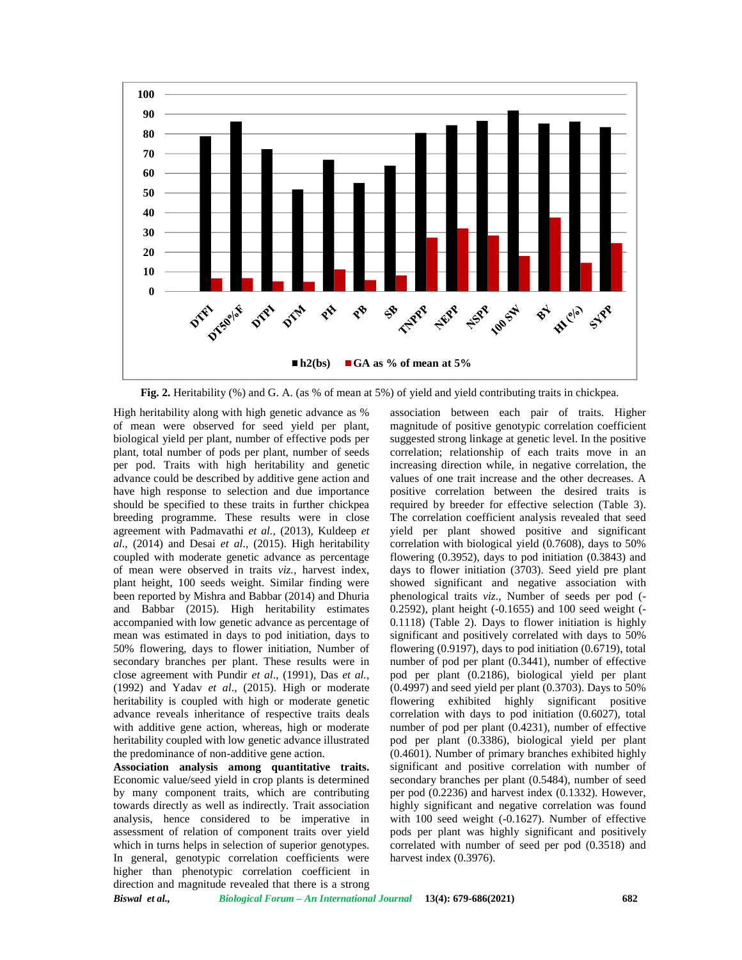

**Fig. 2.** Heritability (%) and G. A. (as % of mean at 5%) of yield and yield contributing traits in chickpea.

High heritability along with high genetic advance as % of mean were observed for seed yield per plant, biological yield per plant, number of effective pods per plant, total number of pods per plant, number of seeds per pod. Traits with high heritability and genetic advance could be described by additive gene action and have high response to selection and due importance should be specified to these traits in further chickpea breeding programme. These results were in close agreement with Padmavathi *et al.,* (2013), Kuldeep *et al*., (2014) and Desai *et al*., (2015). High heritability coupled with moderate genetic advance as percentage of mean were observed in traits *viz.,* harvest index, plant height, 100 seeds weight. Similar finding were been reported by Mishra and Babbar (2014) and Dhuria and Babbar (2015). High heritability estimates accompanied with low genetic advance as percentage of mean was estimated in days to pod initiation, days to 50% flowering, days to flower initiation, Number of secondary branches per plant. These results were in close agreement with Pundir *et al*., (1991), Das *et al.,* (1992) and Yadav *et al*., (2015). High or moderate heritability is coupled with high or moderate genetic advance reveals inheritance of respective traits deals with additive gene action, whereas, high or moderate heritability coupled with low genetic advance illustrated the predominance of non-additive gene action.

**Association analysis among quantitative traits.** Economic value/seed yield in crop plants is determined by many component traits, which are contributing towards directly as well as indirectly. Trait association analysis, hence considered to be imperative in assessment of relation of component traits over yield which in turns helps in selection of superior genotypes. In general, genotypic correlation coefficients were higher than phenotypic correlation coefficient in direction and magnitude revealed that there is a strong

association between each pair of traits. Higher magnitude of positive genotypic correlation coefficient suggested strong linkage at genetic level. In the positive correlation; relationship of each traits move in an increasing direction while, in negative correlation, the values of one trait increase and the other decreases. A positive correlation between the desired traits is required by breeder for effective selection (Table 3). The correlation coefficient analysis revealed that seed yield per plant showed positive and significant correlation with biological yield (0.7608), days to 50% flowering (0.3952), days to pod initiation (0.3843) and days to flower initiation (3703). Seed yield pre plant showed significant and negative association with phenological traits *viz*., Number of seeds per pod (- 0.2592), plant height (-0.1655) and 100 seed weight (- 0.1118) (Table 2). Days to flower initiation is highly significant and positively correlated with days to 50% flowering (0.9197), days to pod initiation (0.6719), total number of pod per plant (0.3441), number of effective pod per plant (0.2186), biological yield per plant  $(0.4997)$  and seed yield per plant  $(0.3703)$ . Days to 50% flowering exhibited highly significant positive correlation with days to pod initiation (0.6027), total number of pod per plant (0.4231), number of effective pod per plant (0.3386), biological yield per plant (0.4601). Number of primary branches exhibited highly significant and positive correlation with number of secondary branches per plant (0.5484), number of seed per pod (0.2236) and harvest index (0.1332). However, highly significant and negative correlation was found with 100 seed weight (-0.1627). Number of effective pods per plant was highly significant and positively correlated with number of seed per pod (0.3518) and harvest index  $(0.3976)$ .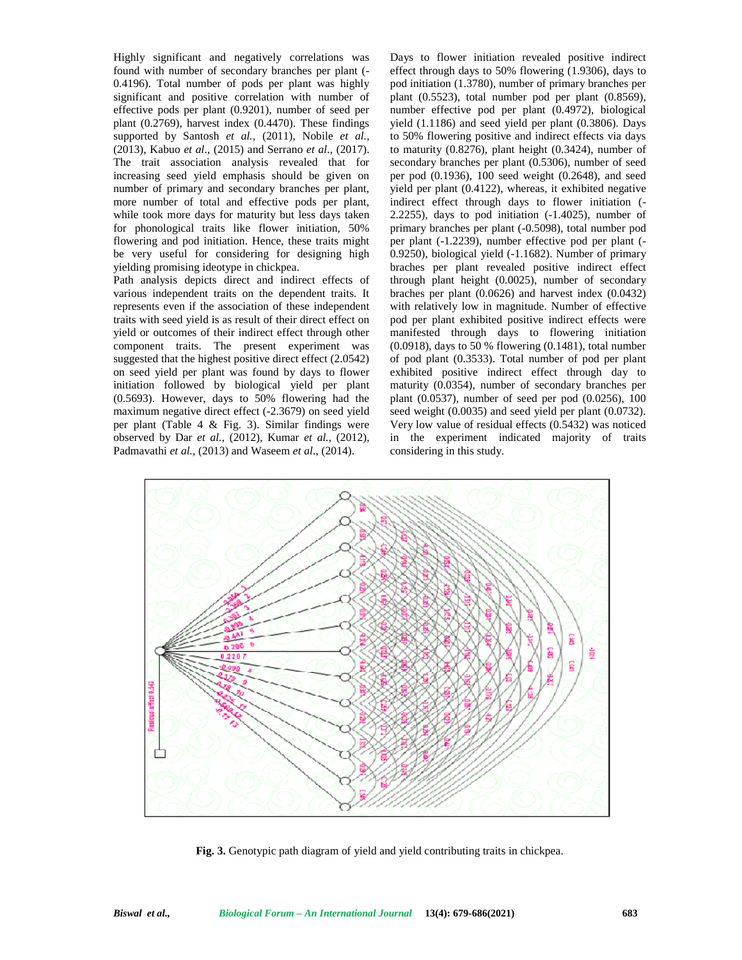Highly significant and negatively correlations was found with number of secondary branches per plant (- 0.4196). Total number of pods per plant was highly significant and positive correlation with number of effective pods per plant (0.9201), number of seed per plant (0.2769), harvest index (0.4470). These findings supported by Santosh *et al.,* (2011), Nobile *et al.,* (2013), Kabuo *et al*., (2015) and Serrano *et al*., (2017). The trait association analysis revealed that for increasing seed yield emphasis should be given on number of primary and secondary branches per plant, more number of total and effective pods per plant, while took more days for maturity but less days taken for phonological traits like flower initiation, 50% flowering and pod initiation. Hence, these traits might be very useful for considering for designing high yielding promising ideotype in chickpea.

Path analysis depicts direct and indirect effects of various independent traits on the dependent traits. It represents even if the association of these independent traits with seed yield is as result of their direct effect on yield or outcomes of their indirect effect through other component traits. The present experiment was suggested that the highest positive direct effect (2.0542) on seed yield per plant was found by days to flower initiation followed by biological yield per plant (0.5693). However, days to 50% flowering had the maximum negative direct effect (-2.3679) on seed yield per plant (Table 4 & Fig. 3). Similar findings were observed by Dar *et al.,* (2012), Kumar *et al.,* (2012), Padmavathi *et al.,* (2013) and Waseem *et al*., (2014).

Days to flower initiation revealed positive indirect effect through days to 50% flowering (1.9306), days to pod initiation (1.3780), number of primary branches per plant (0.5523), total number pod per plant (0.8569), number effective pod per plant (0.4972), biological yield (1.1186) and seed yield per plant (0.3806). Days to 50% flowering positive and indirect effects via days to maturity (0.8276), plant height (0.3424), number of secondary branches per plant (0.5306), number of seed per pod (0.1936), 100 seed weight (0.2648), and seed yield per plant (0.4122), whereas, it exhibited negative indirect effect through days to flower initiation (- 2.2255), days to pod initiation (-1.4025), number of primary branches per plant (-0.5098), total number pod per plant (-1.2239), number effective pod per plant (- 0.9250), biological yield (-1.1682). Number of primary braches per plant revealed positive indirect effect through plant height (0.0025), number of secondary braches per plant (0.0626) and harvest index (0.0432) with relatively low in magnitude. Number of effective pod per plant exhibited positive indirect effects were manifested through days to flowering initiation (0.0918), days to 50 % flowering (0.1481), total number of pod plant (0.3533). Total number of pod per plant exhibited positive indirect effect through day to maturity (0.0354), number of secondary branches per plant (0.0537), number of seed per pod (0.0256), 100 seed weight (0.0035) and seed yield per plant (0.0732). Very low value of residual effects (0.5432) was noticed in the experiment indicated majority of traits considering in this study.



**Fig. 3.** Genotypic path diagram of yield and yield contributing traits in chickpea.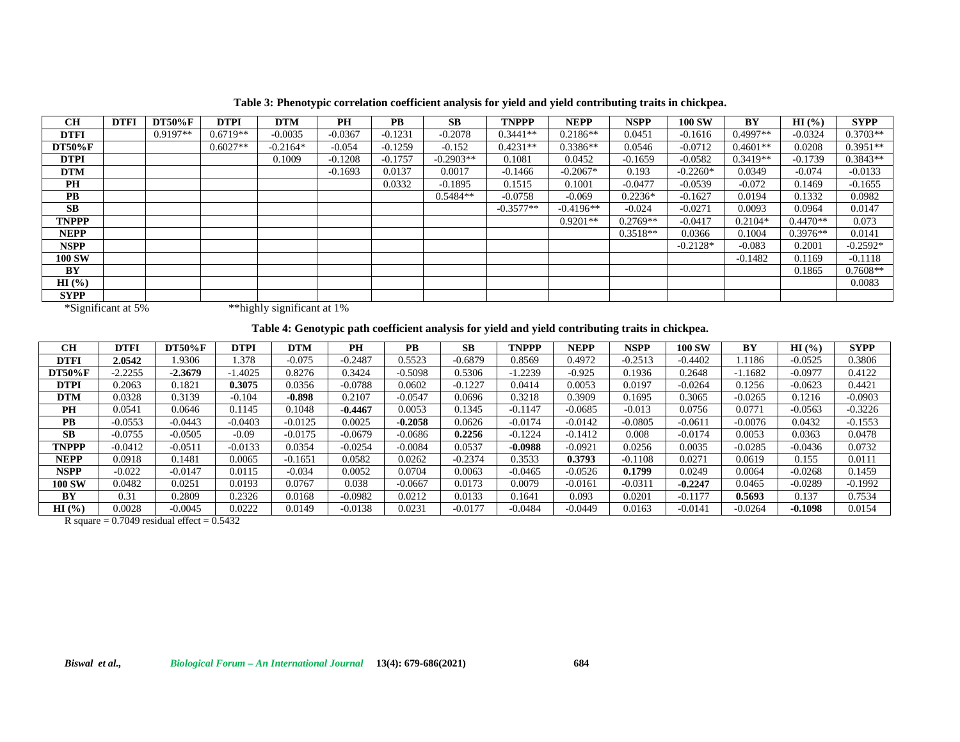| <b>CH</b>     | <b>DTFI</b> | <b>DT50%F</b> | <b>DTPI</b> | <b>DTM</b> | <b>PH</b> | <b>PB</b> | <b>SB</b>   | <b>TNPPP</b> | <b>NEPP</b> | <b>NSPP</b> | <b>100 SW</b> | BY         | HI(%)      | <b>SYPP</b> |
|---------------|-------------|---------------|-------------|------------|-----------|-----------|-------------|--------------|-------------|-------------|---------------|------------|------------|-------------|
| <b>DTFI</b>   |             | $0.9197**$    | $0.6719**$  | $-0.0035$  | $-0.0367$ | $-0.1231$ | $-0.2078$   | $0.3441**$   | $0.2186**$  | 0.0451      | $-0.1616$     | $0.4997**$ | $-0.0324$  | $0.3703**$  |
| <b>DT50%F</b> |             |               | $0.6027**$  | $-0.2164*$ | $-0.054$  | $-0.1259$ | $-0.152$    | $0.4231**$   | $0.3386**$  | 0.0546      | $-0.0712$     | $0.4601**$ | 0.0208     | $0.3951**$  |
| <b>DTPI</b>   |             |               |             | 0.1009     | $-0.1208$ | $-0.1757$ | $-0.2903**$ | 0.1081       | 0.0452      | $-0.1659$   | $-0.0582$     | $0.3419**$ | $-0.1739$  | $0.3843**$  |
| <b>DTM</b>    |             |               |             |            | $-0.1693$ | 0.0137    | 0.0017      | $-0.1466$    | $-0.2067*$  | 0.193       | $-0.2260*$    | 0.0349     | $-0.074$   | $-0.0133$   |
| PH            |             |               |             |            |           | 0.0332    | $-0.1895$   | 0.1515       | 0.1001      | $-0.0477$   | $-0.0539$     | $-0.072$   | 0.1469     | $-0.1655$   |
| <b>PB</b>     |             |               |             |            |           |           | $0.5484**$  | $-0.0758$    | $-0.069$    | $0.2236*$   | $-0.1627$     | 0.0194     | 0.1332     | 0.0982      |
| <b>SB</b>     |             |               |             |            |           |           |             | $-0.3577**$  | $-0.4196**$ | $-0.024$    | $-0.0271$     | 0.0093     | 0.0964     | 0.0147      |
| <b>TNPPP</b>  |             |               |             |            |           |           |             |              | $0.9201**$  | $0.2769**$  | $-0.0417$     | $0.2104*$  | $0.4470**$ | 0.073       |
| <b>NEPP</b>   |             |               |             |            |           |           |             |              |             | $0.3518**$  | 0.0366        | 0.1004     | $0.3976**$ | 0.0141      |
| NSPP          |             |               |             |            |           |           |             |              |             |             | $-0.2128*$    | $-0.083$   | 0.2001     | $-0.2592*$  |
| <b>100 SW</b> |             |               |             |            |           |           |             |              |             |             |               | $-0.1482$  | 0.1169     | $-0.1118$   |
| BY            |             |               |             |            |           |           |             |              |             |             |               |            | 0.1865     | $0.7608**$  |
| HI(%)         |             |               |             |            |           |           |             |              |             |             |               |            |            | 0.0083      |
| <b>SYPP</b>   |             |               |             |            |           |           |             |              |             |             |               |            |            |             |

**Table 3: Phenotypic correlation coefficient analysis for yield and yield contributing traits in chickpea.**

\*Significant at 5%

\*\*highly significant at 1%

**Table 4: Genotypic path coefficient analysis for yield and yield contributing traits in chickpea.**

| <b>CH</b>     | <b>DTFI</b> | <b>DT50%F</b> | <b>DTPI</b> | <b>DTM</b> | <b>PH</b> | <b>PB</b> | <b>SB</b> | <b>TNPPP</b> | NEPP      | NSPP      | <b>100 SW</b> | <b>BY</b> | HI(%)     | <b>SYPP</b> |
|---------------|-------------|---------------|-------------|------------|-----------|-----------|-----------|--------------|-----------|-----------|---------------|-----------|-----------|-------------|
| <b>DTFI</b>   | 2.0542      | .9306         | l.378       | $-0.075$   | $-0.2487$ | 0.5523    | $-0.6879$ | 0.8569       | 0.4972    | $-0.2513$ | $-0.4402$     | .1186     | $-0.0525$ | 0.3806      |
| <b>DT50%F</b> | $-2.2255$   | $-2.3679$     | 1.4025      | 0.8276     | 0.3424    | $-0.5098$ | 0.5306    | $-1.2239$    | $-0.925$  | 0.1936    | 0.2648        | $-1.1682$ | $-0.0977$ | 0.4122      |
| <b>DTPI</b>   | 0.2063      | 0.1821        | 0.3075      | 0.0356     | $-0.0788$ | 9.0602    | $-0.1227$ | 0.0414       | 0.0053    | 0.0197    | $-0.0264$     | 0.1256    | $-0.0623$ | 0.4421      |
| <b>DTM</b>    | 0.0328      | 0.3139        | $-0.104$    | $-0.898$   | 0.2107    | $-0.0547$ | 0.0696    | 0.3218       | 0.3909    | 0.1695    | 0.3065        | $-0.0265$ | 0.1216    | $-0.0903$   |
| <b>PH</b>     | 0.0541      | 0.0646        | 0.1145      | 0.1048     | $-0.4467$ | 0.0053    | 0.1345    | $-0.1147$    | $-0.0685$ | $-0.013$  | 0.0756        | 0.0771    | $-0.0563$ | $-0.3226$   |
| <b>PB</b>     | $-0.0553$   | $-0.0443$     | $-0.0403$   | $-0.0125$  | 0.0025    | $-0.2058$ | 0.0626    | $-0.0174$    | $-0.0142$ | $-0.0805$ | $-0.0611$     | $-0.0076$ | 0.0432    | $-0.1553$   |
| <b>SB</b>     | $-0.0755$   | $-0.0505$     | $-0.09$     | $-0.0175$  | $-0.0679$ | $-0.0686$ | 0.2256    | $-0.1224$    | $-0.1412$ | 0.008     | $-0.0174$     | 0.0053    | 0.0363    | 0.0478      |
| <b>TNPPP</b>  | $-0.0412$   | $-0.0511$     | $-0.0133$   | 0.0354     | $-0.0254$ | $-0.0084$ | 0.0537    | $-0.0988$    | $-0.0921$ | 0.0256    | 0.0035        | $-0.0285$ | $-0.0436$ | 0.0732      |
| <b>NEPP</b>   | 0.0918      | 0.1481        | 0.0065      | $-0.1651$  | 0.0582    | 9.0262    | $-0.2374$ | 0.3533       | 0.3793    | $-0.1108$ | 0.0271        | 0.0619    | 0.155     | 0.0111      |
| <b>NSPP</b>   | $-0.022$    | $-0.0147$     | 0.0115      | $-0.034$   | 0.0052    | 0.0704    | 0.0063    | $-0.0465$    | $-0.0526$ | 0.1799    | 0.0249        | 0.0064    | $-0.0268$ | 0.1459      |
| <b>100 SW</b> | 0.0482      | 0.0251        | 0.0193      | 0.0767     | 0.038     | $-0.0667$ | 0.0173    | 0.0079       | $-0.0161$ | $-0.0311$ | $-0.2247$     | 0.0465    | $-0.0289$ | $-0.1992$   |
| BY            | 0.31        | 0.2809        | 0.2326      | 0.0168     | $-0.0982$ | 0.0212    | 0.0133    | 0.1641       | 0.093     | 0.0201    | $-0.1177$     | 0.5693    | 0.137     | 0.7534      |
| HI(%)         | 0.0028      | $-0.0045$     | 0.0222      | 0.0149     | -0.0138   | 0.0231    | $-0.0177$ | $-0.0484$    | $-0.0449$ | 0.0163    | $-0.0141$     | $-0.0264$ | $-0.1098$ | 0.0154      |

R square =  $0.7049$  residual effect =  $0.5432$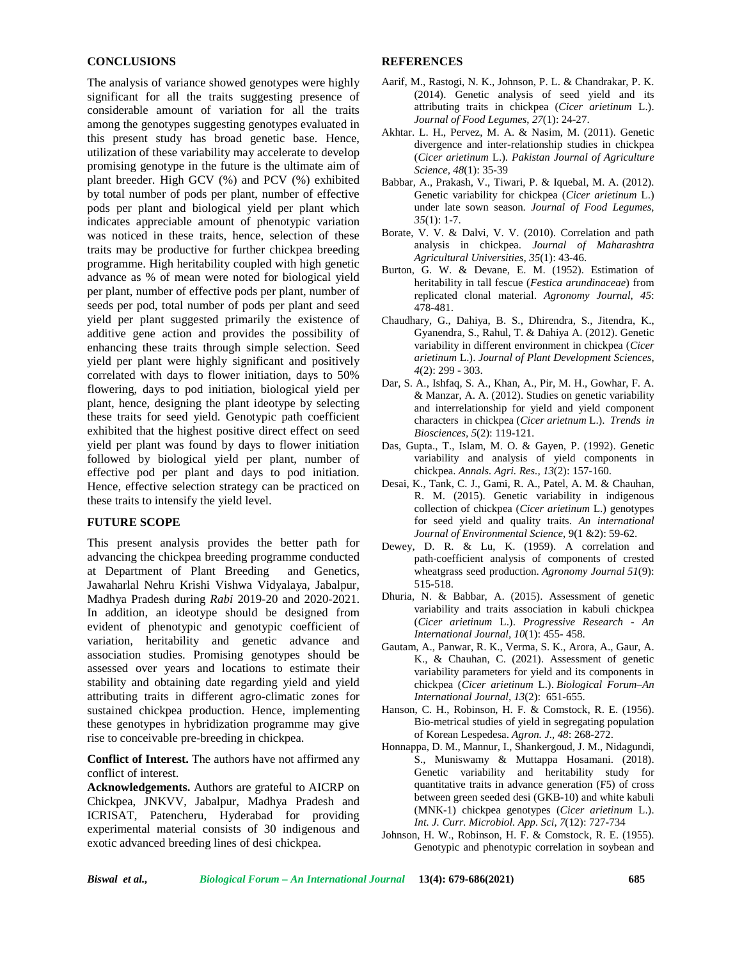### **CONCLUSIONS**

The analysis of variance showed genotypes were highly significant for all the traits suggesting presence of considerable amount of variation for all the traits among the genotypes suggesting genotypes evaluated in this present study has broad genetic base. Hence, utilization of these variability may accelerate to develop promising genotype in the future is the ultimate aim of plant breeder. High GCV (%) and PCV (%) exhibited by total number of pods per plant, number of effective pods per plant and biological yield per plant which indicates appreciable amount of phenotypic variation was noticed in these traits, hence, selection of these traits may be productive for further chickpea breeding programme. High heritability coupled with high genetic advance as % of mean were noted for biological yield per plant, number of effective pods per plant, number of seeds per pod, total number of pods per plant and seed yield per plant suggested primarily the existence of additive gene action and provides the possibility of enhancing these traits through simple selection. Seed yield per plant were highly significant and positively correlated with days to flower initiation, days to 50% flowering, days to pod initiation, biological yield per plant, hence, designing the plant ideotype by selecting these traits for seed yield. Genotypic path coefficient exhibited that the highest positive direct effect on seed yield per plant was found by days to flower initiation followed by biological yield per plant, number of effective pod per plant and days to pod initiation. Hence, effective selection strategy can be practiced on these traits to intensify the yield level.

## **FUTURE SCOPE**

This present analysis provides the better path for advancing the chickpea breeding programme conducted at Department of Plant Breeding and Genetics, Jawaharlal Nehru Krishi Vishwa Vidyalaya, Jabalpur, Madhya Pradesh during *Rabi* 2019-20 and 2020-2021. In addition, an ideotype should be designed from evident of phenotypic and genotypic coefficient of variation, heritability and genetic advance and association studies. Promising genotypes should be assessed over years and locations to estimate their stability and obtaining date regarding yield and yield attributing traits in different agro-climatic zones for sustained chickpea production. Hence, implementing these genotypes in hybridization programme may give rise to conceivable pre-breeding in chickpea.

**Conflict of Interest.** The authors have not affirmed any conflict of interest.

**Acknowledgements.** Authors are grateful to AICRP on Chickpea, JNKVV, Jabalpur, Madhya Pradesh and ICRISAT, Patencheru, Hyderabad for providing experimental material consists of 30 indigenous and exotic advanced breeding lines of desi chickpea.

#### **REFERENCES**

- Aarif, M., Rastogi, N. K., Johnson, P. L. & Chandrakar, P. K. (2014). Genetic analysis of seed yield and its attributing traits in chickpea (*Cicer arietinum* L.). *Journal of Food Legumes*, *27*(1): 24-27.
- Akhtar. L. H., Pervez, M. A. & Nasim, M. (2011). Genetic divergence and inter-relationship studies in chickpea (*Cicer arietinum* L.). *Pakistan Journal of Agriculture Science, 48*(1): 35-39
- Babbar, A., Prakash, V., Tiwari, P. & Iquebal, M. A. (2012). Genetic variability for chickpea (*Cicer arietinum* L.) under late sown season. *Journal of Food Legumes, 35*(1): 1-7.
- Borate, V. V. & Dalvi, V. V. (2010). Correlation and path analysis in chickpea. *Journal of Maharashtra Agricultural Universities, 35*(1): 43-46.
- Burton, G. W. & Devane, E. M. (1952). Estimation of heritability in tall fescue (*Festica arundinaceae*) from replicated clonal material. *Agronomy Journal, 45*: 478-481.
- Chaudhary, G., Dahiya, B. S., Dhirendra, S., Jitendra, K., Gyanendra, S., Rahul, T. & Dahiya A. (2012). Genetic variability in different environment in chickpea (*Cicer arietinum* L.). *Journal of Plant Development Sciences, 4*(2): 299 - 303.
- Dar, S. A., Ishfaq, S. A., Khan, A., Pir, M. H., Gowhar, F. A. & Manzar, A. A. (2012). Studies on genetic variability and interrelationship for yield and yield component characters in chickpea (*Cicer arietnum* L.). *Trends in Biosciences, 5*(2): 119-121.
- Das, Gupta., T., Islam, M. O. & Gayen, P. (1992). Genetic variability and analysis of yield components in chickpea. *Annals. Agri. Res., 13*(2): 157-160.
- Desai, K., Tank, C. J., Gami, R. A., Patel, A. M. & Chauhan, R. M. (2015). Genetic variability in indigenous collection of chickpea (*Cicer arietinum* L.) genotypes for seed yield and quality traits. *An international Journal of Environmental Science*, 9(1 &2): 59-62.
- Dewey, D. R. & Lu, K. (1959). A correlation and path‐coefficient analysis of components of crested wheatgrass seed production. *Agronomy Journal 51*(9): 515-518.
- Dhuria, N. & Babbar, A. (2015). Assessment of genetic variability and traits association in kabuli chickpea (*Cicer arietinum* L.). *Progressive Research - An International Journal, 10*(1): 455- 458.
- Gautam, A., Panwar, R. K., Verma, S. K., Arora, A., Gaur, A. K., & Chauhan, C. (2021). Assessment of genetic variability parameters for yield and its components in chickpea (*Cicer arietinum* L.). *Biological Forum–An International Journal, 13*(2): 651-655.
- Hanson, C. H., Robinson, H. F. & Comstock, R. E. (1956). Bio-metrical studies of yield in segregating population of Korean Lespedesa. *Agron. J., 48*: 268-272.
- Honnappa, D. M., Mannur, I., Shankergoud, J. M., Nidagundi, S., Muniswamy & Muttappa Hosamani. (2018). Genetic variability and heritability study for quantitative traits in advance generation (F5) of cross between green seeded desi (GKB-10) and white kabuli (MNK-1) chickpea genotypes (*Cicer arietinum* L.). *Int. J. Curr. Microbiol. App. Sci*, *7*(12): 727-734
- Johnson, H. W., Robinson, H. F. & Comstock, R. E. (1955). Genotypic and phenotypic correlation in soybean and